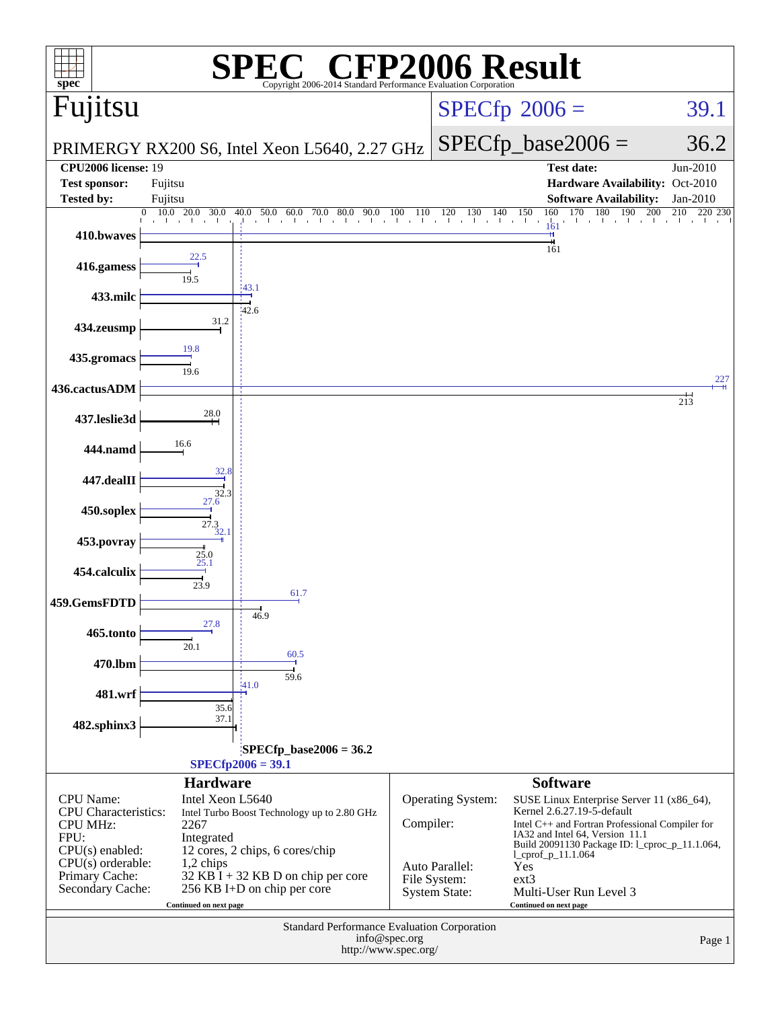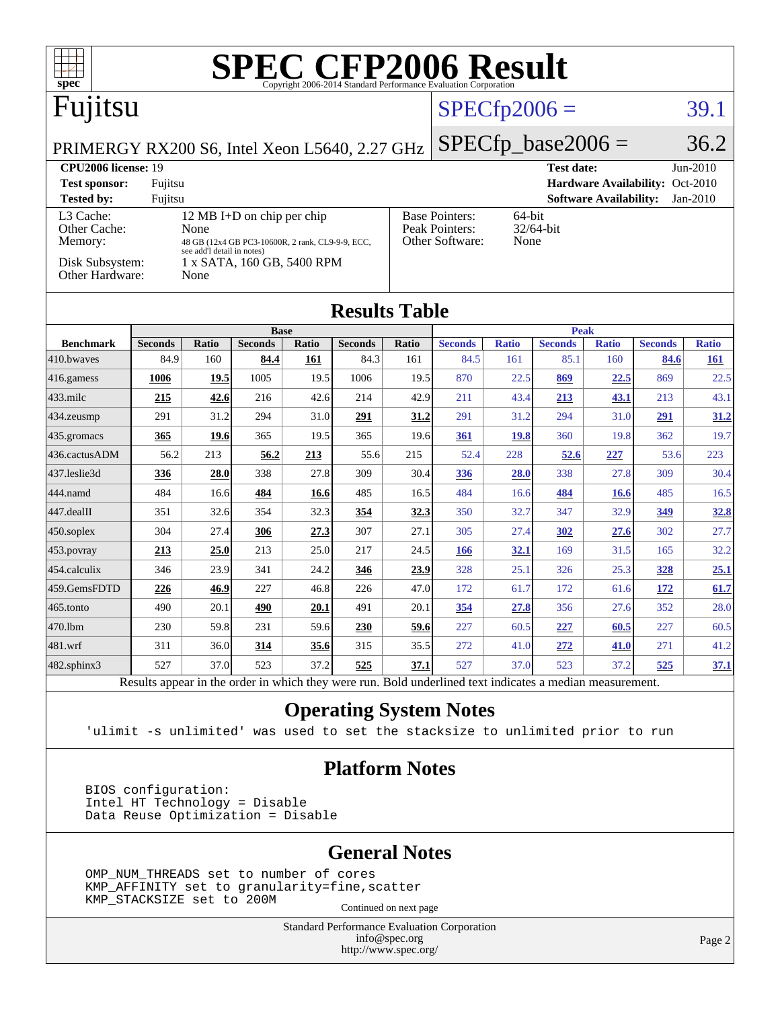| $spec^*$                                      |                                                 |                                    |                                                  |              | <b>SPEC CFP2006 Result</b><br>Copyright 2006-2014 Standard Performance Evaluation Corporation            |                     |                         |                     |                        |                               |                                 |                            |
|-----------------------------------------------|-------------------------------------------------|------------------------------------|--------------------------------------------------|--------------|----------------------------------------------------------------------------------------------------------|---------------------|-------------------------|---------------------|------------------------|-------------------------------|---------------------------------|----------------------------|
| Fujitsu                                       |                                                 |                                    |                                                  |              | $SPECfp2006 =$                                                                                           |                     |                         |                     | 39.1                   |                               |                                 |                            |
| PRIMERGY RX200 S6, Intel Xeon L5640, 2.27 GHz |                                                 |                                    |                                                  |              |                                                                                                          |                     |                         |                     | $SPECfp\_base2006 =$   |                               |                                 | 36.2                       |
| <b>CPU2006</b> license: 19                    |                                                 |                                    |                                                  |              |                                                                                                          |                     |                         |                     | Test date:             |                               |                                 | $Jun-2010$                 |
| <b>Test sponsor:</b>                          | Fujitsu                                         |                                    |                                                  |              |                                                                                                          |                     |                         |                     |                        |                               | Hardware Availability: Oct-2010 |                            |
| <b>Tested by:</b>                             | Fujitsu                                         |                                    |                                                  |              |                                                                                                          |                     |                         |                     |                        | <b>Software Availability:</b> |                                 | Jan-2010                   |
| Other Cache:                                  | 12 MB I+D on chip per chip<br>L3 Cache:<br>None |                                    |                                                  |              | <b>Base Pointers:</b><br>64-bit<br>Peak Pointers:<br>32/64-bit                                           |                     |                         |                     |                        |                               |                                 |                            |
| Memory:                                       |                                                 |                                    | 48 GB (12x4 GB PC3-10600R, 2 rank, CL9-9-9, ECC, |              |                                                                                                          |                     | Other Software:<br>None |                     |                        |                               |                                 |                            |
| Disk Subsystem:<br>Other Hardware:            |                                                 | see add'l detail in notes)<br>None | 1 x SATA, 160 GB, 5400 RPM                       |              |                                                                                                          |                     |                         |                     |                        |                               |                                 |                            |
| <b>Results Table</b>                          |                                                 |                                    |                                                  |              |                                                                                                          |                     |                         |                     |                        |                               |                                 |                            |
|                                               |                                                 |                                    | <b>Base</b>                                      |              |                                                                                                          |                     |                         |                     | <b>Peak</b>            |                               |                                 |                            |
| <b>Benchmark</b><br>410.bwayes                | <b>Seconds</b><br>84.9                          | <b>Ratio</b><br>160                | <b>Seconds</b><br>84.4                           | Ratio<br>161 | <b>Seconds</b><br>84.3                                                                                   | <b>Ratio</b><br>161 | <b>Seconds</b><br>84.5  | <b>Ratio</b><br>161 | <b>Seconds</b><br>85.1 | <b>Ratio</b><br>160           | <b>Seconds</b><br>84.6          | <b>Ratio</b><br><u>161</u> |
| 416.gamess                                    | 1006                                            | 19.5                               | 1005                                             | 19.5         | 1006                                                                                                     | 19.5                | 870                     | 22.5                | 869                    | 22.5                          | 869                             | 22.5                       |
| 433.milc                                      | 215                                             | 42.6                               | 216                                              | 42.6         | 214                                                                                                      | 42.9                | 211                     | 43.4                | <u>213</u>             | 43.1                          | 213                             | 43.1                       |
| 434.zeusmp                                    | 291                                             | 31.2                               | 294                                              | 31.0         | 291                                                                                                      | 31.2                | 291                     | 31.2                | 294                    | 31.0                          | 291                             | 31.2                       |
|                                               |                                                 | 19.6                               | 365                                              | 19.5         | 365                                                                                                      | 19.6                |                         |                     | 360                    | 19.8                          | 362                             | 19.7                       |
| 435.gromacs<br>436.cactusADM                  | 365<br>56.2                                     | 213                                | 56.2                                             | 213          | 55.6                                                                                                     | 215                 | 361<br>52.4             | <b>19.8</b><br>228  | 52.6                   | 227                           | 53.6                            | 223                        |
| 437.leslie3d                                  | 336                                             | 28.0                               | 338                                              | 27.8         | 309                                                                                                      | 30.4                | 336                     | 28.0                | 338                    | 27.8                          | 309                             | 30.4                       |
| 444.namd                                      | 484                                             | 16.6                               | 484                                              | 16.6         | 485                                                                                                      | 16.5                | 484                     | 16.6                | 484                    |                               | 485                             | 16.5                       |
| 447.dealII                                    | 351                                             | 32.6                               | 354                                              | 32.3         | 354                                                                                                      | 32.3                | 350                     | 32.7                | 347                    | <b>16.6</b><br>32.9           | 349                             | <u>32.8</u>                |
|                                               | 304                                             | 27.4                               | 306                                              | 27.3         | 307                                                                                                      | 27.1                | 305                     | 27.4                | 302                    | 27.6                          | 302                             | 27.7                       |
| $ 450$ .soplex                                | 213                                             | 25.0                               | 213                                              | 25.0         | 217                                                                                                      | 24.5                | <b>166</b>              | 32.1                | 169                    | 31.5                          | 165                             | 32.2                       |
| $ 453$ . povray<br>454.calculix               | 346                                             | 23.9                               | 341                                              | 24.2         | 346                                                                                                      | 23.9                | 328                     | 25.1                | 326                    | 25.3                          | 328                             |                            |
|                                               |                                                 |                                    |                                                  |              |                                                                                                          |                     |                         |                     |                        |                               |                                 | <u>25.1</u>                |
| 459.GemsFDTD                                  | 226                                             | 46.9                               | 227                                              | 46.8         | 226                                                                                                      | 47.0                | 172                     | 61.7                | 172                    | 61.6                          | 172                             | 61.7                       |
| 465.tonto                                     | 490                                             | 20.1                               | 490                                              | 20.1         | 491                                                                                                      | 20.1                | 354                     | 27.8                | 356                    | 27.6                          | 352                             | 28.0                       |
| 470.1bm                                       | 230                                             | 59.8                               | 231                                              | 59.6         | 230                                                                                                      | 59.6                | 227                     | 60.5                | 227                    | 60.5                          | 227                             | 60.5                       |
| 481.wrf                                       | 311                                             | 36.0                               | 314                                              | 35.6         | 315                                                                                                      | 35.5                | 272                     | 41.0                | 272                    | 41.0                          | 271                             | 41.2                       |
| $482$ .sphinx $3$                             | 527                                             | 37.0                               | 523                                              | 37.2         | 525                                                                                                      | 37.1                | 527                     | 37.0                | 523                    | 37.2                          | 525                             | 37.1                       |
|                                               |                                                 |                                    |                                                  |              | Results appear in the order in which they were run. Bold underlined text indicates a median measurement. |                     |                         |                     |                        |                               |                                 |                            |

#### **[Operating System Notes](http://www.spec.org/auto/cpu2006/Docs/result-fields.html#OperatingSystemNotes)**

'ulimit -s unlimited' was used to set the stacksize to unlimited prior to run

#### **[Platform Notes](http://www.spec.org/auto/cpu2006/Docs/result-fields.html#PlatformNotes)**

 BIOS configuration: Intel HT Technology = Disable Data Reuse Optimization = Disable

#### **[General Notes](http://www.spec.org/auto/cpu2006/Docs/result-fields.html#GeneralNotes)**

 OMP\_NUM\_THREADS set to number of cores KMP\_AFFINITY set to granularity=fine,scatter KMP\_STACKSIZE set to 200M

Continued on next page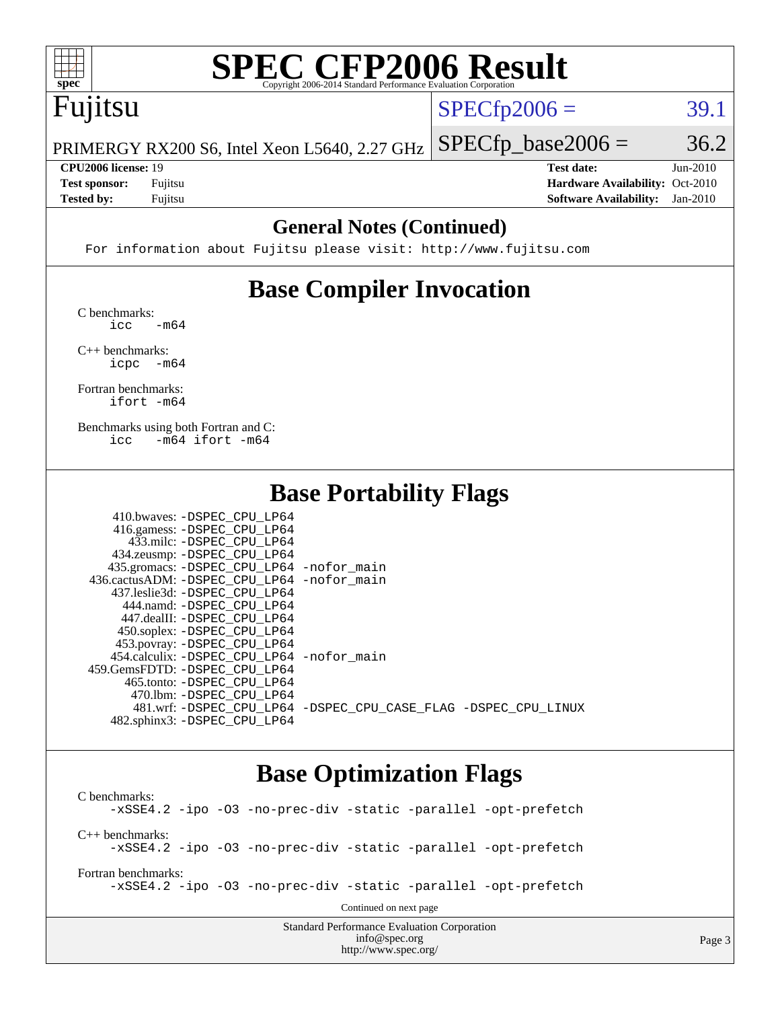

# **[SPEC CFP2006 Result](http://www.spec.org/auto/cpu2006/Docs/result-fields.html#SPECCFP2006Result)**

# Fujitsu

 $SPECTp2006 = 39.1$ 

PRIMERGY RX200 S6, Intel Xeon L5640, 2.27 GHz  $SPECTp\_base2006 = 36.2$ 

**[Tested by:](http://www.spec.org/auto/cpu2006/Docs/result-fields.html#Testedby)** Fujitsu **[Software Availability:](http://www.spec.org/auto/cpu2006/Docs/result-fields.html#SoftwareAvailability)** Jan-2010

**[CPU2006 license:](http://www.spec.org/auto/cpu2006/Docs/result-fields.html#CPU2006license)** 19 **[Test date:](http://www.spec.org/auto/cpu2006/Docs/result-fields.html#Testdate)** Jun-2010 **[Test sponsor:](http://www.spec.org/auto/cpu2006/Docs/result-fields.html#Testsponsor)** Fujitsu **[Hardware Availability:](http://www.spec.org/auto/cpu2006/Docs/result-fields.html#HardwareAvailability)** Oct-2010

#### **[General Notes \(Continued\)](http://www.spec.org/auto/cpu2006/Docs/result-fields.html#GeneralNotes)**

For information about Fujitsu please visit: <http://www.fujitsu.com>

## **[Base Compiler Invocation](http://www.spec.org/auto/cpu2006/Docs/result-fields.html#BaseCompilerInvocation)**

[C benchmarks](http://www.spec.org/auto/cpu2006/Docs/result-fields.html#Cbenchmarks):  $\text{icc}$   $-\text{m64}$ 

[C++ benchmarks:](http://www.spec.org/auto/cpu2006/Docs/result-fields.html#CXXbenchmarks) [icpc -m64](http://www.spec.org/cpu2006/results/res2010q3/cpu2006-20100706-12251.flags.html#user_CXXbase_intel_icpc_64bit_bedb90c1146cab66620883ef4f41a67e)

[Fortran benchmarks](http://www.spec.org/auto/cpu2006/Docs/result-fields.html#Fortranbenchmarks): [ifort -m64](http://www.spec.org/cpu2006/results/res2010q3/cpu2006-20100706-12251.flags.html#user_FCbase_intel_ifort_64bit_ee9d0fb25645d0210d97eb0527dcc06e)

[Benchmarks using both Fortran and C](http://www.spec.org/auto/cpu2006/Docs/result-fields.html#BenchmarksusingbothFortranandC): [icc -m64](http://www.spec.org/cpu2006/results/res2010q3/cpu2006-20100706-12251.flags.html#user_CC_FCbase_intel_icc_64bit_0b7121f5ab7cfabee23d88897260401c) [ifort -m64](http://www.spec.org/cpu2006/results/res2010q3/cpu2006-20100706-12251.flags.html#user_CC_FCbase_intel_ifort_64bit_ee9d0fb25645d0210d97eb0527dcc06e)

#### **[Base Portability Flags](http://www.spec.org/auto/cpu2006/Docs/result-fields.html#BasePortabilityFlags)**

| 410.bwaves: -DSPEC CPU LP64                |                                                                |
|--------------------------------------------|----------------------------------------------------------------|
| 416.gamess: -DSPEC_CPU_LP64                |                                                                |
| 433.milc: -DSPEC CPU LP64                  |                                                                |
| 434.zeusmp: -DSPEC_CPU_LP64                |                                                                |
| 435.gromacs: -DSPEC_CPU_LP64 -nofor_main   |                                                                |
| 436.cactusADM: -DSPEC CPU LP64 -nofor main |                                                                |
| 437.leslie3d: -DSPEC CPU LP64              |                                                                |
| 444.namd: -DSPEC CPU LP64                  |                                                                |
| 447.dealII: -DSPEC CPU LP64                |                                                                |
| 450.soplex: -DSPEC_CPU_LP64                |                                                                |
| 453.povray: -DSPEC_CPU_LP64                |                                                                |
| 454.calculix: -DSPEC CPU LP64 -nofor main  |                                                                |
| 459. GemsFDTD: - DSPEC CPU LP64            |                                                                |
| 465.tonto: -DSPEC CPU LP64                 |                                                                |
| 470.1bm: - DSPEC CPU LP64                  |                                                                |
|                                            | 481.wrf: -DSPEC CPU_LP64 -DSPEC_CPU_CASE_FLAG -DSPEC_CPU_LINUX |
| 482.sphinx3: -DSPEC CPU LP64               |                                                                |

#### **[Base Optimization Flags](http://www.spec.org/auto/cpu2006/Docs/result-fields.html#BaseOptimizationFlags)**

Standard Performance Evaluation Corporation [C benchmarks](http://www.spec.org/auto/cpu2006/Docs/result-fields.html#Cbenchmarks): [-xSSE4.2](http://www.spec.org/cpu2006/results/res2010q3/cpu2006-20100706-12251.flags.html#user_CCbase_f-xSSE42_f91528193cf0b216347adb8b939d4107) [-ipo](http://www.spec.org/cpu2006/results/res2010q3/cpu2006-20100706-12251.flags.html#user_CCbase_f-ipo) [-O3](http://www.spec.org/cpu2006/results/res2010q3/cpu2006-20100706-12251.flags.html#user_CCbase_f-O3) [-no-prec-div](http://www.spec.org/cpu2006/results/res2010q3/cpu2006-20100706-12251.flags.html#user_CCbase_f-no-prec-div) [-static](http://www.spec.org/cpu2006/results/res2010q3/cpu2006-20100706-12251.flags.html#user_CCbase_f-static) [-parallel](http://www.spec.org/cpu2006/results/res2010q3/cpu2006-20100706-12251.flags.html#user_CCbase_f-parallel) [-opt-prefetch](http://www.spec.org/cpu2006/results/res2010q3/cpu2006-20100706-12251.flags.html#user_CCbase_f-opt-prefetch) [C++ benchmarks:](http://www.spec.org/auto/cpu2006/Docs/result-fields.html#CXXbenchmarks) [-xSSE4.2](http://www.spec.org/cpu2006/results/res2010q3/cpu2006-20100706-12251.flags.html#user_CXXbase_f-xSSE42_f91528193cf0b216347adb8b939d4107) [-ipo](http://www.spec.org/cpu2006/results/res2010q3/cpu2006-20100706-12251.flags.html#user_CXXbase_f-ipo) [-O3](http://www.spec.org/cpu2006/results/res2010q3/cpu2006-20100706-12251.flags.html#user_CXXbase_f-O3) [-no-prec-div](http://www.spec.org/cpu2006/results/res2010q3/cpu2006-20100706-12251.flags.html#user_CXXbase_f-no-prec-div) [-static](http://www.spec.org/cpu2006/results/res2010q3/cpu2006-20100706-12251.flags.html#user_CXXbase_f-static) [-parallel](http://www.spec.org/cpu2006/results/res2010q3/cpu2006-20100706-12251.flags.html#user_CXXbase_f-parallel) [-opt-prefetch](http://www.spec.org/cpu2006/results/res2010q3/cpu2006-20100706-12251.flags.html#user_CXXbase_f-opt-prefetch) [Fortran benchmarks](http://www.spec.org/auto/cpu2006/Docs/result-fields.html#Fortranbenchmarks): [-xSSE4.2](http://www.spec.org/cpu2006/results/res2010q3/cpu2006-20100706-12251.flags.html#user_FCbase_f-xSSE42_f91528193cf0b216347adb8b939d4107) [-ipo](http://www.spec.org/cpu2006/results/res2010q3/cpu2006-20100706-12251.flags.html#user_FCbase_f-ipo) [-O3](http://www.spec.org/cpu2006/results/res2010q3/cpu2006-20100706-12251.flags.html#user_FCbase_f-O3) [-no-prec-div](http://www.spec.org/cpu2006/results/res2010q3/cpu2006-20100706-12251.flags.html#user_FCbase_f-no-prec-div) [-static](http://www.spec.org/cpu2006/results/res2010q3/cpu2006-20100706-12251.flags.html#user_FCbase_f-static) [-parallel](http://www.spec.org/cpu2006/results/res2010q3/cpu2006-20100706-12251.flags.html#user_FCbase_f-parallel) [-opt-prefetch](http://www.spec.org/cpu2006/results/res2010q3/cpu2006-20100706-12251.flags.html#user_FCbase_f-opt-prefetch) Continued on next page

[info@spec.org](mailto:info@spec.org) <http://www.spec.org/>

Page 3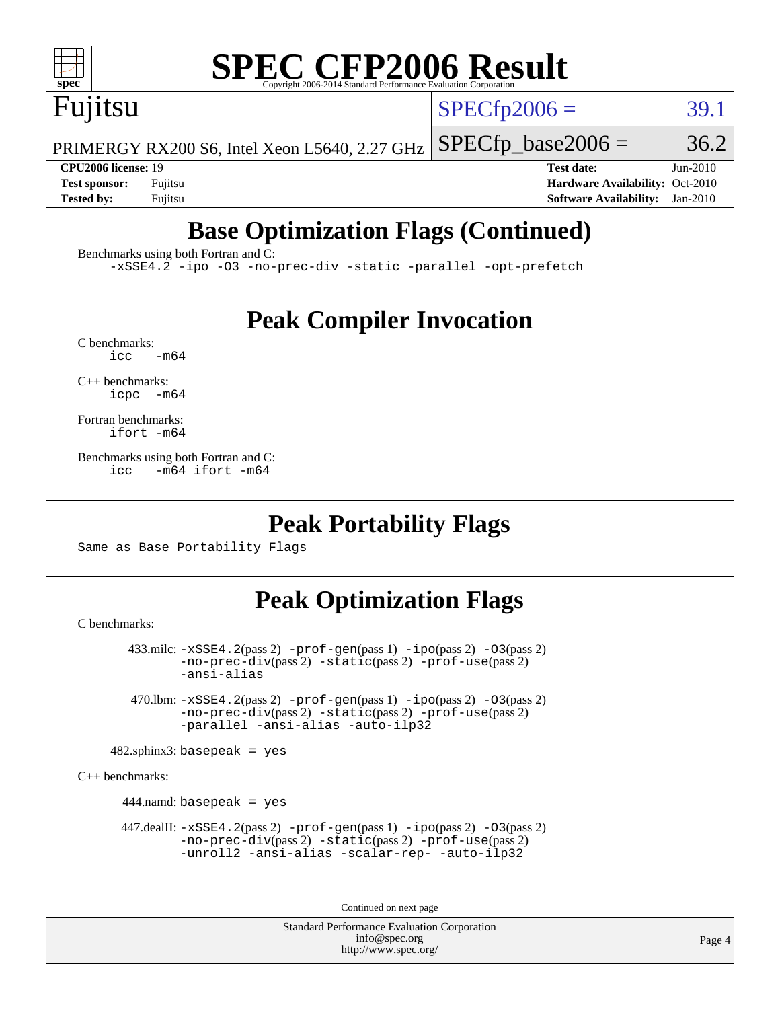

# **[SPEC CFP2006 Result](http://www.spec.org/auto/cpu2006/Docs/result-fields.html#SPECCFP2006Result)**

Fujitsu

 $SPECTp2006 = 39.1$ 

PRIMERGY RX200 S6, Intel Xeon L5640, 2.27 GHz  $SPECTp\_base2006 = 36.2$ 

**[CPU2006 license:](http://www.spec.org/auto/cpu2006/Docs/result-fields.html#CPU2006license)** 19 **[Test date:](http://www.spec.org/auto/cpu2006/Docs/result-fields.html#Testdate)** Jun-2010 **[Test sponsor:](http://www.spec.org/auto/cpu2006/Docs/result-fields.html#Testsponsor)** Fujitsu **[Hardware Availability:](http://www.spec.org/auto/cpu2006/Docs/result-fields.html#HardwareAvailability)** Oct-2010 **[Tested by:](http://www.spec.org/auto/cpu2006/Docs/result-fields.html#Testedby)** Fujitsu **[Software Availability:](http://www.spec.org/auto/cpu2006/Docs/result-fields.html#SoftwareAvailability)** Jan-2010

# **[Base Optimization Flags \(Continued\)](http://www.spec.org/auto/cpu2006/Docs/result-fields.html#BaseOptimizationFlags)**

[Benchmarks using both Fortran and C](http://www.spec.org/auto/cpu2006/Docs/result-fields.html#BenchmarksusingbothFortranandC):

[-xSSE4.2](http://www.spec.org/cpu2006/results/res2010q3/cpu2006-20100706-12251.flags.html#user_CC_FCbase_f-xSSE42_f91528193cf0b216347adb8b939d4107) [-ipo](http://www.spec.org/cpu2006/results/res2010q3/cpu2006-20100706-12251.flags.html#user_CC_FCbase_f-ipo) [-O3](http://www.spec.org/cpu2006/results/res2010q3/cpu2006-20100706-12251.flags.html#user_CC_FCbase_f-O3) [-no-prec-div](http://www.spec.org/cpu2006/results/res2010q3/cpu2006-20100706-12251.flags.html#user_CC_FCbase_f-no-prec-div) [-static](http://www.spec.org/cpu2006/results/res2010q3/cpu2006-20100706-12251.flags.html#user_CC_FCbase_f-static) [-parallel](http://www.spec.org/cpu2006/results/res2010q3/cpu2006-20100706-12251.flags.html#user_CC_FCbase_f-parallel) [-opt-prefetch](http://www.spec.org/cpu2006/results/res2010q3/cpu2006-20100706-12251.flags.html#user_CC_FCbase_f-opt-prefetch)

### **[Peak Compiler Invocation](http://www.spec.org/auto/cpu2006/Docs/result-fields.html#PeakCompilerInvocation)**

 $C$  benchmarks:<br>icc  $-m64$ 

[C++ benchmarks:](http://www.spec.org/auto/cpu2006/Docs/result-fields.html#CXXbenchmarks) [icpc -m64](http://www.spec.org/cpu2006/results/res2010q3/cpu2006-20100706-12251.flags.html#user_CXXpeak_intel_icpc_64bit_bedb90c1146cab66620883ef4f41a67e)

[Fortran benchmarks](http://www.spec.org/auto/cpu2006/Docs/result-fields.html#Fortranbenchmarks): [ifort -m64](http://www.spec.org/cpu2006/results/res2010q3/cpu2006-20100706-12251.flags.html#user_FCpeak_intel_ifort_64bit_ee9d0fb25645d0210d97eb0527dcc06e)

[Benchmarks using both Fortran and C](http://www.spec.org/auto/cpu2006/Docs/result-fields.html#BenchmarksusingbothFortranandC): [icc -m64](http://www.spec.org/cpu2006/results/res2010q3/cpu2006-20100706-12251.flags.html#user_CC_FCpeak_intel_icc_64bit_0b7121f5ab7cfabee23d88897260401c) [ifort -m64](http://www.spec.org/cpu2006/results/res2010q3/cpu2006-20100706-12251.flags.html#user_CC_FCpeak_intel_ifort_64bit_ee9d0fb25645d0210d97eb0527dcc06e)

#### **[Peak Portability Flags](http://www.spec.org/auto/cpu2006/Docs/result-fields.html#PeakPortabilityFlags)**

Same as Base Portability Flags

### **[Peak Optimization Flags](http://www.spec.org/auto/cpu2006/Docs/result-fields.html#PeakOptimizationFlags)**

[C benchmarks](http://www.spec.org/auto/cpu2006/Docs/result-fields.html#Cbenchmarks):

 433.milc: [-xSSE4.2](http://www.spec.org/cpu2006/results/res2010q3/cpu2006-20100706-12251.flags.html#user_peakPASS2_CFLAGSPASS2_LDFLAGS433_milc_f-xSSE42_f91528193cf0b216347adb8b939d4107)(pass 2) [-prof-gen](http://www.spec.org/cpu2006/results/res2010q3/cpu2006-20100706-12251.flags.html#user_peakPASS1_CFLAGSPASS1_LDFLAGS433_milc_prof_gen_e43856698f6ca7b7e442dfd80e94a8fc)(pass 1) [-ipo](http://www.spec.org/cpu2006/results/res2010q3/cpu2006-20100706-12251.flags.html#user_peakPASS2_CFLAGSPASS2_LDFLAGS433_milc_f-ipo)(pass 2) [-O3](http://www.spec.org/cpu2006/results/res2010q3/cpu2006-20100706-12251.flags.html#user_peakPASS2_CFLAGSPASS2_LDFLAGS433_milc_f-O3)(pass 2) [-no-prec-div](http://www.spec.org/cpu2006/results/res2010q3/cpu2006-20100706-12251.flags.html#user_peakPASS2_CFLAGSPASS2_LDFLAGS433_milc_f-no-prec-div)(pass 2) [-static](http://www.spec.org/cpu2006/results/res2010q3/cpu2006-20100706-12251.flags.html#user_peakPASS2_CFLAGSPASS2_LDFLAGS433_milc_f-static)(pass 2) [-prof-use](http://www.spec.org/cpu2006/results/res2010q3/cpu2006-20100706-12251.flags.html#user_peakPASS2_CFLAGSPASS2_LDFLAGS433_milc_prof_use_bccf7792157ff70d64e32fe3e1250b55)(pass 2) [-ansi-alias](http://www.spec.org/cpu2006/results/res2010q3/cpu2006-20100706-12251.flags.html#user_peakOPTIMIZE433_milc_f-ansi-alias)

 470.lbm: [-xSSE4.2](http://www.spec.org/cpu2006/results/res2010q3/cpu2006-20100706-12251.flags.html#user_peakPASS2_CFLAGSPASS2_LDFLAGS470_lbm_f-xSSE42_f91528193cf0b216347adb8b939d4107)(pass 2) [-prof-gen](http://www.spec.org/cpu2006/results/res2010q3/cpu2006-20100706-12251.flags.html#user_peakPASS1_CFLAGSPASS1_LDFLAGS470_lbm_prof_gen_e43856698f6ca7b7e442dfd80e94a8fc)(pass 1) [-ipo](http://www.spec.org/cpu2006/results/res2010q3/cpu2006-20100706-12251.flags.html#user_peakPASS2_CFLAGSPASS2_LDFLAGS470_lbm_f-ipo)(pass 2) [-O3](http://www.spec.org/cpu2006/results/res2010q3/cpu2006-20100706-12251.flags.html#user_peakPASS2_CFLAGSPASS2_LDFLAGS470_lbm_f-O3)(pass 2) [-no-prec-div](http://www.spec.org/cpu2006/results/res2010q3/cpu2006-20100706-12251.flags.html#user_peakPASS2_CFLAGSPASS2_LDFLAGS470_lbm_f-no-prec-div)(pass 2) [-static](http://www.spec.org/cpu2006/results/res2010q3/cpu2006-20100706-12251.flags.html#user_peakPASS2_CFLAGSPASS2_LDFLAGS470_lbm_f-static)(pass 2) [-prof-use](http://www.spec.org/cpu2006/results/res2010q3/cpu2006-20100706-12251.flags.html#user_peakPASS2_CFLAGSPASS2_LDFLAGS470_lbm_prof_use_bccf7792157ff70d64e32fe3e1250b55)(pass 2) [-parallel](http://www.spec.org/cpu2006/results/res2010q3/cpu2006-20100706-12251.flags.html#user_peakOPTIMIZE470_lbm_f-parallel) [-ansi-alias](http://www.spec.org/cpu2006/results/res2010q3/cpu2006-20100706-12251.flags.html#user_peakOPTIMIZE470_lbm_f-ansi-alias) [-auto-ilp32](http://www.spec.org/cpu2006/results/res2010q3/cpu2006-20100706-12251.flags.html#user_peakCOPTIMIZE470_lbm_f-auto-ilp32)

 $482$ .sphinx3: basepeak = yes

[C++ benchmarks:](http://www.spec.org/auto/cpu2006/Docs/result-fields.html#CXXbenchmarks)

444.namd: basepeak = yes

 $447$ .dealII:  $-xSSE4$ .  $2(pass 2)$  [-prof-gen](http://www.spec.org/cpu2006/results/res2010q3/cpu2006-20100706-12251.flags.html#user_peakPASS1_CXXFLAGSPASS1_LDFLAGS447_dealII_prof_gen_e43856698f6ca7b7e442dfd80e94a8fc)(pass 1) [-ipo](http://www.spec.org/cpu2006/results/res2010q3/cpu2006-20100706-12251.flags.html#user_peakPASS2_CXXFLAGSPASS2_LDFLAGS447_dealII_f-ipo)(pass 2) -03(pass 2) [-no-prec-div](http://www.spec.org/cpu2006/results/res2010q3/cpu2006-20100706-12251.flags.html#user_peakPASS2_CXXFLAGSPASS2_LDFLAGS447_dealII_f-no-prec-div)(pass 2) [-static](http://www.spec.org/cpu2006/results/res2010q3/cpu2006-20100706-12251.flags.html#user_peakPASS2_CXXFLAGSPASS2_LDFLAGS447_dealII_f-static)(pass 2) [-prof-use](http://www.spec.org/cpu2006/results/res2010q3/cpu2006-20100706-12251.flags.html#user_peakPASS2_CXXFLAGSPASS2_LDFLAGS447_dealII_prof_use_bccf7792157ff70d64e32fe3e1250b55)(pass 2) [-unroll2](http://www.spec.org/cpu2006/results/res2010q3/cpu2006-20100706-12251.flags.html#user_peakOPTIMIZE447_dealII_f-unroll_784dae83bebfb236979b41d2422d7ec2) [-ansi-alias](http://www.spec.org/cpu2006/results/res2010q3/cpu2006-20100706-12251.flags.html#user_peakOPTIMIZE447_dealII_f-ansi-alias) [-scalar-rep-](http://www.spec.org/cpu2006/results/res2010q3/cpu2006-20100706-12251.flags.html#user_peakOPTIMIZE447_dealII_f-disablescalarrep_abbcad04450fb118e4809c81d83c8a1d) [-auto-ilp32](http://www.spec.org/cpu2006/results/res2010q3/cpu2006-20100706-12251.flags.html#user_peakCXXOPTIMIZE447_dealII_f-auto-ilp32)

Continued on next page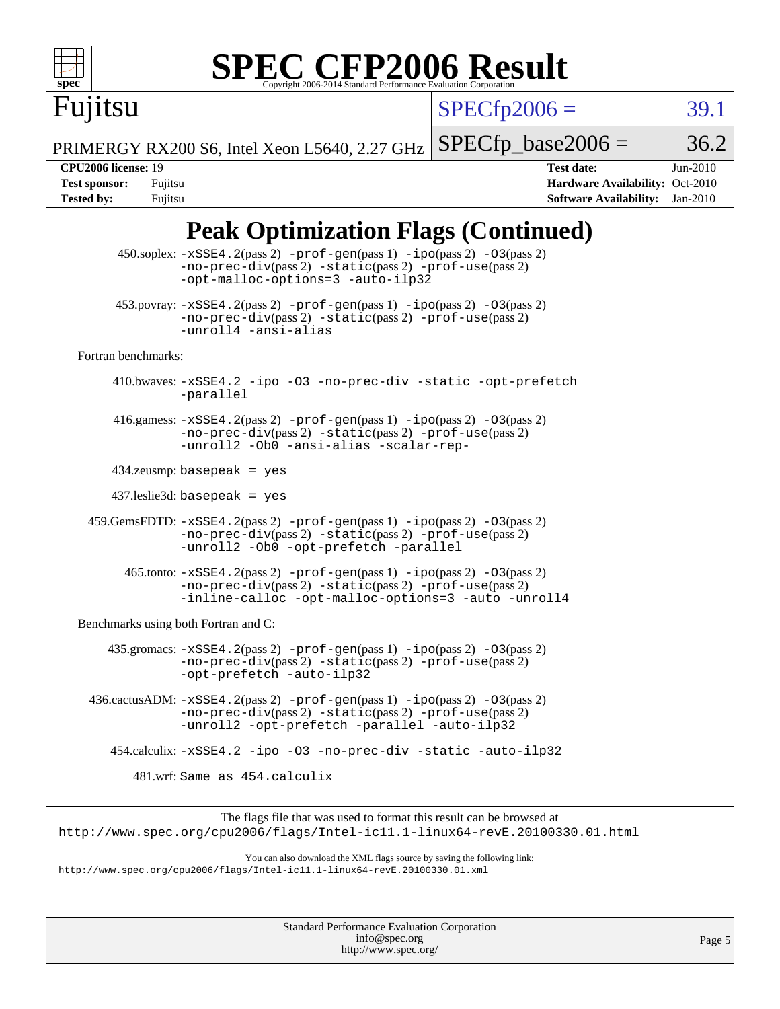

# **[SPEC CFP2006 Result](http://www.spec.org/auto/cpu2006/Docs/result-fields.html#SPECCFP2006Result)**

 $SPECfp2006 = 39.1$  $SPECfp2006 = 39.1$ 

PRIMERGY RX200 S6, Intel Xeon L5640, 2.27 GHz  $SPECTp\_base2006 = 36.2$ 

Fujitsu

**[CPU2006 license:](http://www.spec.org/auto/cpu2006/Docs/result-fields.html#CPU2006license)** 19 **[Test date:](http://www.spec.org/auto/cpu2006/Docs/result-fields.html#Testdate)** Jun-2010 **[Test sponsor:](http://www.spec.org/auto/cpu2006/Docs/result-fields.html#Testsponsor)** Fujitsu **[Hardware Availability:](http://www.spec.org/auto/cpu2006/Docs/result-fields.html#HardwareAvailability)** Oct-2010 **[Tested by:](http://www.spec.org/auto/cpu2006/Docs/result-fields.html#Testedby)** Fujitsu **[Software Availability:](http://www.spec.org/auto/cpu2006/Docs/result-fields.html#SoftwareAvailability)** Jan-2010

## **[Peak Optimization Flags \(Continued\)](http://www.spec.org/auto/cpu2006/Docs/result-fields.html#PeakOptimizationFlags)**

|                                      | 450.soplex: -xSSE4.2(pass 2) -prof-gen(pass 1) -ipo(pass 2) -03(pass 2)<br>$-no-prec-div(pass 2) -static(pass 2) -prof-use(pass 2)$<br>-opt-malloc-options=3 -auto-ilp32                         |  |
|--------------------------------------|--------------------------------------------------------------------------------------------------------------------------------------------------------------------------------------------------|--|
|                                      | $453.$ povray: $-xSSE4$ . $2(pass 2)$ -prof-gen $(pass 1)$ -ipo $(pass 2)$ -03 $(pass 2)$<br>$-no-prec-div(pass 2) -static(pass 2) -prof-use(pass 2)$<br>-unroll4 -ansi-alias                    |  |
| Fortran benchmarks:                  |                                                                                                                                                                                                  |  |
|                                      | 410.bwaves: -xSSE4.2 -ipo -03 -no-prec-div -static -opt-prefetch<br>-parallel                                                                                                                    |  |
|                                      | 416.gamess: $-xSSE4$ . 2(pass 2) $-prof-gen(pass 1) -ipo(pass 2) -O3(pass 2)$<br>-no-prec-div(pass 2) -static(pass 2) -prof-use(pass 2)<br>-unroll2 -Ob0 -ansi-alias -scalar-rep-                |  |
|                                      | $434$ .zeusmp: basepeak = yes                                                                                                                                                                    |  |
|                                      | $437$ .leslie3d: basepeak = yes                                                                                                                                                                  |  |
|                                      | 459.GemsFDTD: -xSSE4.2(pass 2) -prof-gen(pass 1) -ipo(pass 2) -03(pass 2)<br>-no-prec-div(pass 2) -static(pass 2) -prof-use(pass 2)<br>-unroll2 -0b0 -opt-prefetch -parallel                     |  |
|                                      | $465$ .tonto: $-xSSE4$ . 2(pass 2) $-prof-gen(pass 1) -ipo(pass 2) -03(pass 2)$<br>-no-prec-div(pass 2) -static(pass 2) -prof-use(pass 2)<br>-inline-calloc -opt-malloc-options=3 -auto -unroll4 |  |
| Benchmarks using both Fortran and C: |                                                                                                                                                                                                  |  |
|                                      | $435$ .gromacs: $-xSSE4$ . 2(pass 2) $-prof-gen(pass 1) -ipo(pass 2) -03(pass 2)$<br>-no-prec-div(pass 2) -static(pass 2) -prof-use(pass 2)<br>-opt-prefetch -auto-ilp32                         |  |
|                                      | $436.cactusADM: -xSSE4.2(pass 2) -prof-gen(pass 1) -ipo(pass 2) -O3(pass 2)$<br>$-no-prec-div(pass 2) -static(pass 2) -prof-use(pass 2)$<br>-unroll2 -opt-prefetch -parallel -auto-ilp32         |  |
|                                      | 454.calculix: -xSSE4.2 -ipo -03 -no-prec-div -static -auto-ilp32                                                                                                                                 |  |
|                                      | 481.wrf: Same as 454.calculix                                                                                                                                                                    |  |
|                                      | The flags file that was used to format this result can be browsed at<br>http://www.spec.org/cpu2006/flags/Intel-ic11.1-linux64-revE.20100330.01.html                                             |  |
|                                      | You can also download the XML flags source by saving the following link:<br>http://www.spec.org/cpu2006/flags/Intel-ic11.1-linux64-revE.20100330.01.xml                                          |  |
|                                      |                                                                                                                                                                                                  |  |